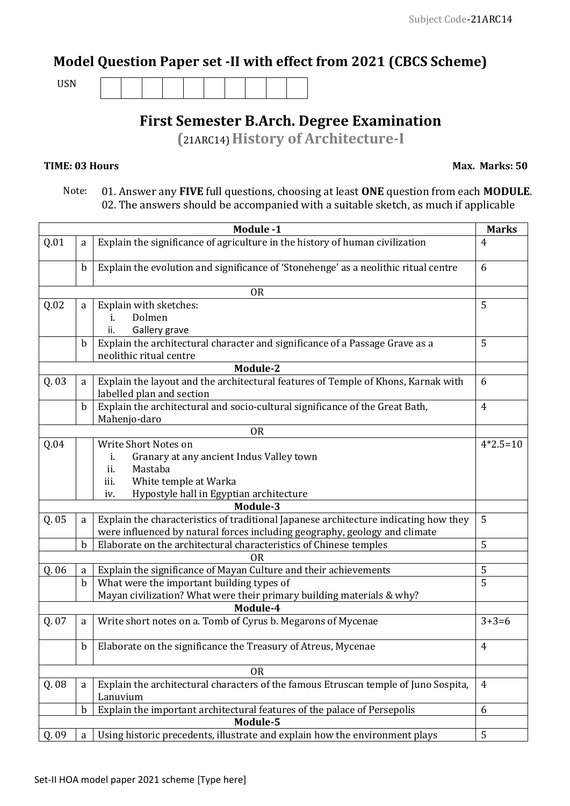## **Model Question Paper set -II with effect from 2021 (CBCS Scheme)**

USN

## **First Semester B.Arch. Degree Examination**

**(**21ARC14) **History of Architecture-I**

## **TIME: 03 Hours**

 **Max. Marks: 50**

 Note: 01. Answer any **FIVE** full questions, choosing at least **ONE** question from each **MODULE**. 02. The answers should be accompanied with a suitable sketch, as much if applicable

| <b>Module -1</b>                                                                                 |                             |                                                                                                                     |                     |  |  |  |  |
|--------------------------------------------------------------------------------------------------|-----------------------------|---------------------------------------------------------------------------------------------------------------------|---------------------|--|--|--|--|
| Q.01                                                                                             | a                           | Explain the significance of agriculture in the history of human civilization                                        |                     |  |  |  |  |
|                                                                                                  | $\mathbf b$                 | Explain the evolution and significance of 'Stonehenge' as a neolithic ritual centre                                 |                     |  |  |  |  |
| <b>OR</b>                                                                                        |                             |                                                                                                                     |                     |  |  |  |  |
| Q.02                                                                                             | Explain with sketches:<br>a |                                                                                                                     |                     |  |  |  |  |
|                                                                                                  |                             | Dolmen<br>i.                                                                                                        |                     |  |  |  |  |
|                                                                                                  |                             | Gallery grave<br>ii.                                                                                                |                     |  |  |  |  |
|                                                                                                  | $\mathbf b$                 | Explain the architectural character and significance of a Passage Grave as a                                        | 5                   |  |  |  |  |
| neolithic ritual centre                                                                          |                             |                                                                                                                     |                     |  |  |  |  |
| Module-2                                                                                         |                             |                                                                                                                     |                     |  |  |  |  |
| Q. 03                                                                                            | a                           | Explain the layout and the architectural features of Temple of Khons, Karnak with<br>6<br>labelled plan and section |                     |  |  |  |  |
|                                                                                                  | $\mathbf b$                 | Explain the architectural and socio-cultural significance of the Great Bath,<br>4<br>Mahenjo-daro                   |                     |  |  |  |  |
|                                                                                                  |                             | <b>OR</b>                                                                                                           |                     |  |  |  |  |
| Q.04                                                                                             |                             | Write Short Notes on                                                                                                | $4*2.5=10$          |  |  |  |  |
|                                                                                                  |                             | Granary at any ancient Indus Valley town<br>i.                                                                      |                     |  |  |  |  |
|                                                                                                  |                             | ii.<br>Mastaba                                                                                                      |                     |  |  |  |  |
|                                                                                                  |                             | White temple at Warka<br>iii.                                                                                       |                     |  |  |  |  |
| Hypostyle hall in Egyptian architecture<br>iv.                                                   |                             |                                                                                                                     |                     |  |  |  |  |
|                                                                                                  |                             | Module-3                                                                                                            |                     |  |  |  |  |
| Q. 05                                                                                            | a                           | Explain the characteristics of traditional Japanese architecture indicating how they                                | 5                   |  |  |  |  |
|                                                                                                  |                             | were influenced by natural forces including geography, geology and climate                                          |                     |  |  |  |  |
| 5<br>Elaborate on the architectural characteristics of Chinese temples<br>$\mathbf b$            |                             |                                                                                                                     |                     |  |  |  |  |
| 0 <sub>R</sub><br>Explain the significance of Mayan Culture and their achievements<br>Q. 06<br>a |                             |                                                                                                                     |                     |  |  |  |  |
|                                                                                                  | $\mathbf b$                 | What were the important building types of                                                                           | 5<br>$\overline{5}$ |  |  |  |  |
|                                                                                                  |                             | Mayan civilization? What were their primary building materials & why?                                               |                     |  |  |  |  |
| Module-4                                                                                         |                             |                                                                                                                     |                     |  |  |  |  |
| Q. 07                                                                                            | a                           | Write short notes on a. Tomb of Cyrus b. Megarons of Mycenae                                                        | $3+3=6$             |  |  |  |  |
|                                                                                                  | $\mathbf b$                 | Elaborate on the significance the Treasury of Atreus, Mycenae                                                       | $\overline{4}$      |  |  |  |  |
| <b>OR</b>                                                                                        |                             |                                                                                                                     |                     |  |  |  |  |
| Q. 08                                                                                            | a                           | Explain the architectural characters of the famous Etruscan temple of Juno Sospita,<br>Lanuvium                     |                     |  |  |  |  |
|                                                                                                  | $\mathbf b$                 | Explain the important architectural features of the palace of Persepolis                                            | 6                   |  |  |  |  |
| Module-5                                                                                         |                             |                                                                                                                     |                     |  |  |  |  |
| Q. 09                                                                                            | a                           | Using historic precedents, illustrate and explain how the environment plays                                         | 5                   |  |  |  |  |